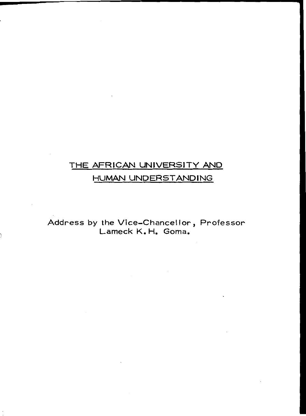## THE AFRICAN UNIVERSITY AND

## HUMAN UNDERSTANDING

Address by the Vice-Chancellor, Professor Lameck K. H. Goma.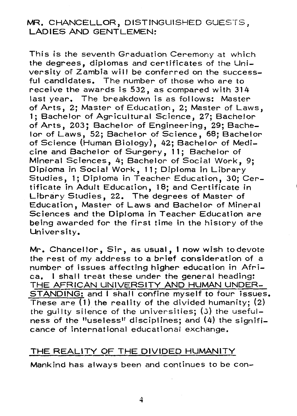### MR. CHANCELLOR, DISTINGUISHED GUESTS, LADIES AND GENTLEMEN:

This is the seventh Graduation Ceremony at which the degrees, diplomas and certificates of the University of Zambia will be conferred on the successful candidates. The number of those who are to receive the awards is 532, as compared with 314 last year. The breakdown is as follows: Master of Arts, 2; Master of Education, 2; Master of Laws, 1; Bachelor of Agricultural Science, 27; Bachelor of Arts, 203; Bachelor of Engineering, 29; Bachelor of Laws, 52; Bachelor of Science, 68; Bachelor of Science (Human Biology), 42; Bachelor of Medicine and Bachelor of Surgery, **11;** Bachelor of Mineral Sciences, 4; Bachelor of Social Work, 9; Diploma in Social **Work, 11;** Diploma in Library Studies, 1; Diploma in Teacher Education, 30; Certificate in Adult Education, 18; and Certificate in Library Studies, 22. The degrees of Master of Education, Master of Laws and Bachelor of Mineral Sciences and the Diploma in Teacher Education are being awarded for the first time in the history of the University.

Mr. Chancellor, Sir, as usual, I now wish to devote the rest of my address to a brief consideration of a number of issues affecting higher education in Africa. I shall treat these under the general heading: THE AFRICAN UNIVERSITY AND HUMAN UNDER-STANDING: and I shall confine myself to four issues. These are  $(1)$  the reality of the divided humanity;  $(2)$ the guilty silence of the universities; (3) the usefulness of the "useless" disciplines; and (4) the significance of international educational exchange.

#### THE REALITY OF THE DIVIDED HUMANITY

Mankind has always been and continues to be con-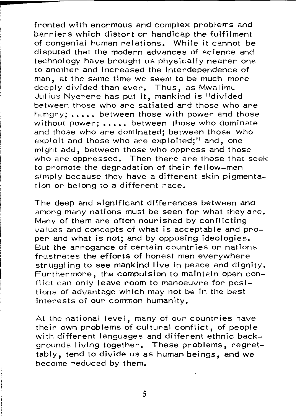fronted with enormous and complex problems and barriers which distort or handicap the fulfilment of congenial human relations. While it cannot be disputed that the modern advances of science and technology have brought us physically nearer one to another and increased the interdependence of man, at the same time we seem to be much more deeply divided than ever. Thus, as Mwalimu Jul ius Nyerere has put it, mankind is "divided between those who are satiated and those who are hungry: ..... between those with power and those without power; ..... between those who dominate and those who are dominated; between those who exploit and those who are exploited;" and, one might add, between those who oppress and those who are oppressed. Then there are those that seek to promote the degradation of their fellow-men simply because they have a different skin pigmentation or belong to a different race.

The deep and significant differences between and among many nations must be seen for what they are. Many of them are often nourished by conflicting values and concepts of what is acceptable and proper- and what is not; and by opposing ideologies. But the arrogance of certain countries or nations frustrates the efforts of honest men everywhere struggling to see mankind live in peace and dignity. Furthermore, the compulsion to maintain open conflict can only leave room to manoeuvre for positions of advantage which may not be in the best interests of our common humanity.

At the national level, many of our countries have their own problems of cultural conflict, of people with different languages and different ethnic backgrounds Iiving together. These problems, regrettably, tend to divide us as humanbeings, and we become reduced by them.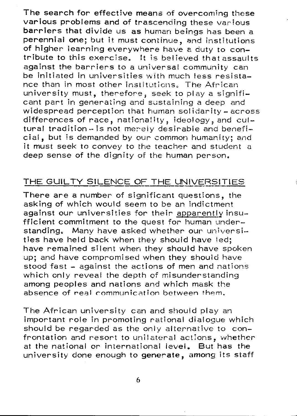The search for effective means of overcoming these various problems and of trascending these various barriers that divide us as human beings has been a perennial one; but it must continue, and institutions of higher learning everywhere have a duty to contribute to this exercise. It is believed that assaults against the barriers to a universal community can be initiated in universities with much less resistance than in most other institutions. The African university must, therefore, seek to playa significant part in generating and sustaining a deep and widespread perception that human solidarity -  $across$ differences of race, nationality, ideology, and cul $t$ ural tradition - is not merely desirable and beneficial, but is demanded by our common humanity; and it must seek to convey to the teacher and student a deep sense of the dignity of the human person.

### THE GUILTY SILENCE OF THE UNIVERSITIES

There are a number of significant questions, the asking of which would seemto be an indictment against our universities for their apparently insufficient commitment to the quest for human understanding. Many have asked whether our universities have held back when they should have led; have remained silent when they should have spoken up; and have compromised when they should have stood fast - against the actions of men and nations which only reveal the depth of misunderstanding among peoples and nations and which mask the absence of real communication between them.

The African university can and should play an important role in promoting rational dialogue which should be regarded as the only alternative to confrontation and resort to unilateral actions, whether at the national or international levei. But has the university done enough to generate, among its staff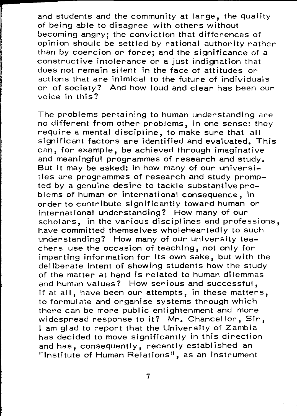and students and the community at large, the quality of being able to disagree with others without becoming angry; the conviction that differences of opinion should be settled by rational authority rather than by coercion or force; and the significance of a constructive intolerance or a just indignation that does not remain silent in the face of attitudes or actions that are inimical to the future of individuals or of society'? And how loud and clear has been our voice in this'?

The problems pertaining to human understanding are no different from other problems, in one sense: they require a mental discipline, to make sure that all significant factors are identified and evaluated. This can, for example, be achieved through imaginative and meaningful programmes of research and study. But it may be asked: in how many of our universities are programmes of research and study prompted by a genuine desire to tackle substantive problems of human or international consequence, in order to contribute significantly toward human or international understanding'? How many of our scholars, in the various disciplines and professions, have committed themselves wholeheartedly to such understanding'? How many of our university teachers use the occasion of teaching, not only for imparting information for its own sake, but with the del iberate intent of showing students how the study of the matter at hand is related to human dilemmas and human values? How serious and successful, if at all, have been our attempts, in these matters, to formulate and organise systems through which there can be more public enlightenment and more widespread response to it? Mr. Chancellor, Sir. I am glad to report that the University of Zambia has decided to move significantly in this direction and has, consequently, recently established an "Institute of Human Relations", as an instrument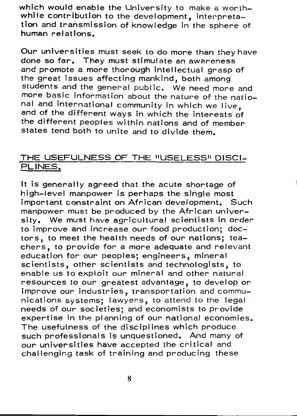which we university to make a wordhout the University to  $\mathcal{L}_{\mathcal{A}}$ while contribution to the development, interpretation and transmission of knowledge in the sphere of human relations.

Our universities must seek to do more than they have done so far. They must stimulate an awareness and promote a more thorough intellectual grasp of the great issues affecting mankind, both among students and the general public. We need more and more basic information about the nature of the national and international community in which we live, and of the different ways in which the interests of the different peoples within nations and of member states tend both to unite and to divide them.

# THE USEFULNESS OF THE "USELESS" DISCI-PLINES.

It is generally agreed that the acute shortage of high-level manpower is perhaps the single most important constraint on African development. Such manpower must be produced by the African university. We must have agricultural scientists in order to improve and increase our food production; doctors, to meet the health needs of our nations; teachers, to provide for a more adequate and relevant education for our peoples; engineers, mineral scientists, other scientists and technologists, to enable us to exploit our mineral and other natural resources to our greatest advantage, to develop or improve our industries, transportation and communications systems; lawyers, to attend to the legal needs of our societies; and economists to provide expertise in the planning of our national economies. The usefulness of the disciplines which produce such professionals is unquestioned. And many of our universities have accepted the critical and challenging task of training and producing these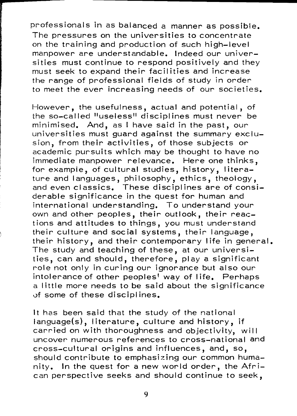professionals in as balanced a manner as possible. The pressures on the universities to concentrate on the training and production of such high-level manpower are understandable. Indeed our universities must continue to respond positively and they must seek to expand their facilities and increase the range of professional fields of study in order to meet the ever increasing needs of our societies.

However, the usefulness, actual and potential, of the so-called "useless" disciplines must never be minimised. And, as I have said in the past, our universities must guard against the summary exclusion, from their activities, of those subjects or academic pursuits which may be thought to have no immediate manpower relevance. Here one thinks, for example, of cultural studies, history, literature and languages, philosophy, ethics, theology, and even classics. These disciplines are of considerable significance in the quest for human and international understanding. To understand your own and other peoples, their outlook, their reactions and attitudes to things, you must understand their culture and social systems, their language, their history, and their contemporary Iife in general. The study and teaching of these, at our universities, can and should, therefore, play a significant role not only in curing our ignorance but also our intolerance of other peoples<sup>t</sup> way of life. Perhaps a little more needs to be said about the significance of some of these di scipl ines.

It has been said that the study of the national language(s), literature, culture and history, if carried on with thoroughness and objectivity, will uncover numerous references to cross-national and cross-cultural origins and influences, and, so, should contribute to emphasizing our common humanity. In the quest for a new world order, the African perspective seeks and should continue to seek,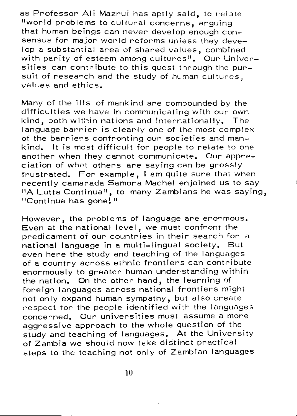as Professor Ali Mazrui has aptly said, to relate "world problems to cultural concerns, arguing that human beings can never develop enough consensus for major world reforms unless they develop a substantial area of shared values, combined with parity of esteem among cultures<sup>"</sup>. Our Universities can contribute to this quest through the pursuit of research and the study of human cultures, values and ethics.

Many of the ills of mankind are compounded by the difficulties we have in communicating with our own kind, both within nations and internationally. The language barrier is clearly one of the most complex of the barriers confronting our societies and mankind. It is most difficult for people to relate to one another when they cannot communicate. Our appreciation of what others are saying can be grossly frustrated. For example, I am quite sure that when recently camarada Samora Machel enjoined us to say "A Lutta Continua", to many Zambians he was saying, "Continua has gonel"

However, the problems of language are enormous. Even at the national level, we must confront the predicament of our countries in their search for a national language in a multi-lingual society. But even here the study and teaching of the languages of a country across ethnic frontiers can contribute enormously to greater human understanding within the nation. On the other hand, the learning of foreign languages across national frontiers might not only expand human sympathy, but also create respect for the people identified with the languages concerned. Our universities must assume a more aggressive approach to the whole question of the study and teaching of languages. At the University of Zambia we should now take distinct practical steps to the teaching not only of Zambian languages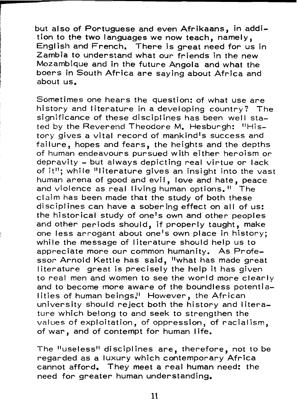but also of Portuguese and even Afrikaans, in addition to the two languages we now teach, namely, Engl ish and French. There is great need for us in Zambia to understand what our friends in the new Mozambique and in the future Angola and what the boers in South Africa are saying about Africa and about us.

Sometimes one hears the question: of what use are hi story and Iiterature in a developing country? The significance of these disciplines has been well stated by the Reverend Theodore M. Hesburgh: "History gives a vital record of mankind's success and failure, hopes and fears, the heights and the depths of human endeavours pursued with either heroism or depravity - but always depicting real virtue or lack of it": while "literature gives an insight into the vast human arena of good and evil, love and hate, peace and violence as real Iiving human options." The claim has been made that the study of both these disciplines can have a sobering effect on all of us: the historical study of one's own and other peoples and other periods should, if properly taught, make one less arrogant about one's own place in history; while the message of literature should help us to appreciate more our common humanity. As Professor Arnold Kettle has said, "what has made great  $l$  iterature great is precisely the help it has given to real men and women to see the world more clearly and to become more aware of the boundless potentia-Iities of human beings.<sup>"</sup> However, the African university should reject both the history and literature which belong to and seek to strengthen the values of exploitation, of oppression, of racial ism, of war, and of contempt for human life.

The "useless" disciplines are, therefore, not to be regarded as a luxury which contemporary Africa cannot afford. They meet a real human need: the need for greater human understanding.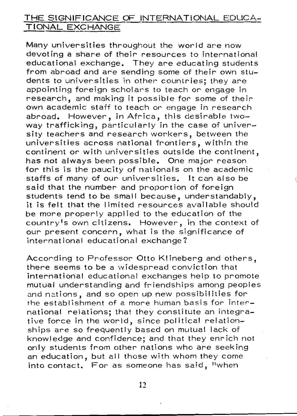## THE SIGNIFICANCE *a=* INTERNATIONAL EDUCA-TIONAL EXCHANGE

Many universities throughout the world are now devoting a share of their resources to international educational exchange. They are educating students from abroad and are sending some of their own students to universities in other countries; they are appointing foreign scholars to teach or engage in research, and making it possible for some of their own academic staff to teach or- engage in research abroad. However, in Africa, this desirable twoway trafficking, particularly in the case of university teachers and research workers, between the universities across national frontiers, within the continent or with universities outside the continent, has not always been possible. One major reason for this is the paucity of nationals on the academic staffs of many of our universities. It can also be said that the number and proportion of foreign students tend to be small because, understandably, it is felt that the limited resources available should be more properly applied to the education of the country's own citizens. However, in the context of our present concern, what is the significance of international educational exchange?

According to Professor Otto Klineberg and others, there seems to be a widespread conviction that international educational exchanges help to promote mutual understanding and friendships amongpeoples and nations, and so open up new possibilities for the establishment of a more human basis for international relations; that they constitute an integrative force in the world, since political relationships are so frequently based on mutual lack of knowledge and confidence; and that they enrich not only students from other nations who are seeking an education, but all those with whom they come into contact. For as someone has said, "when